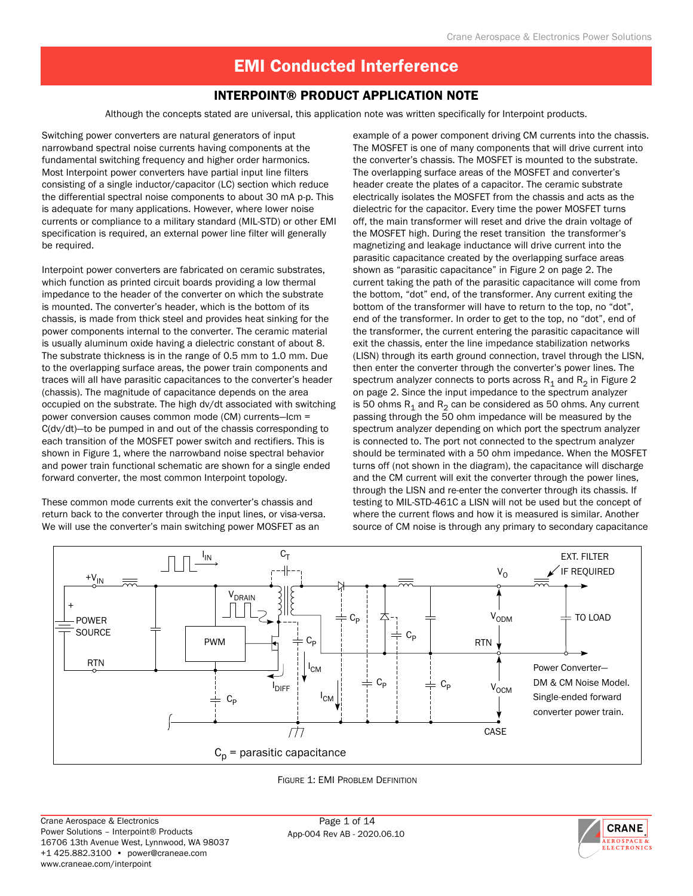### INTERPOINT® Product Application Note

Although the concepts stated are universal, this application note was written specifically for Interpoint products.

Switching power converters are natural generators of input narrowband spectral noise currents having components at the fundamental switching frequency and higher order harmonics. Most Interpoint power converters have partial input line filters consisting of a single inductor/capacitor (LC) section which reduce the differential spectral noise components to about 30 mA p-p. This is adequate for many applications. However, where lower noise currents or compliance to a military standard (MIL-STD) or other EMI specification is required, an external power line filter will generally be required.

Interpoint power converters are fabricated on ceramic substrates, which function as printed circuit boards providing a low thermal impedance to the header of the converter on which the substrate is mounted. The converter's header, which is the bottom of its chassis, is made from thick steel and provides heat sinking for the power components internal to the converter. The ceramic material is usually aluminum oxide having a dielectric constant of about 8. The substrate thickness is in the range of 0.5 mm to 1.0 mm. Due to the overlapping surface areas, the power train components and traces will all have parasitic capacitances to the converter's header (chassis). The magnitude of capacitance depends on the area occupied on the substrate. The high dv/dt associated with switching power conversion causes common mode (CM) currents—Icm = C(dv/dt)—to be pumped in and out of the chassis corresponding to each transition of the MOSFET power switch and rectifiers. This is shown in Figure 1, where the narrowband noise spectral behavior and power train functional schematic are shown for a single ended forward converter, the most common Interpoint topology.

These common mode currents exit the converter's chassis and return back to the converter through the input lines, or visa-versa. We will use the converter's main switching power MOSFET as an

example of a power component driving CM currents into the chassis. The MOSFET is one of many components that will drive current into the converter's chassis. The MOSFET is mounted to the substrate. The overlapping surface areas of the MOSFET and converter's header create the plates of a capacitor. The ceramic substrate electrically isolates the MOSFET from the chassis and acts as the dielectric for the capacitor. Every time the power MOSFET turns off, the main transformer will reset and drive the drain voltage of the MOSFET high. During the reset transition the transformer's magnetizing and leakage inductance will drive current into the parasitic capacitance created by the overlapping surface areas shown as "parasitic capacitance" in Figure 2 on page 2. The current taking the path of the parasitic capacitance will come from the bottom, "dot" end, of the transformer. Any current exiting the bottom of the transformer will have to return to the top, no "dot", end of the transformer. In order to get to the top, no "dot", end of the transformer, the current entering the parasitic capacitance will exit the chassis, enter the line impedance stabilization networks (LISN) through its earth ground connection, travel through the LISN, then enter the converter through the converter's power lines. The spectrum analyzer connects to ports across  $R_1$  and  $R_2$  in Figure 2 on page 2. Since the input impedance to the spectrum analyzer is 50 ohms  $R_1$  and  $R_2$  can be considered as 50 ohms. Any current passing through the 50 ohm impedance will be measured by the spectrum analyzer depending on which port the spectrum analyzer is connected to. The port not connected to the spectrum analyzer should be terminated with a 50 ohm impedance. When the MOSFET turns off (not shown in the diagram), the capacitance will discharge and the CM current will exit the converter through the power lines, through the LISN and re-enter the converter through its chassis. If testing to MIL-STD-461C a LISN will not be used but the concept of where the current flows and how it is measured is similar. Another source of CM noise is through any primary to secondary capacitance





App-004 Rev AB - 2020.06.10

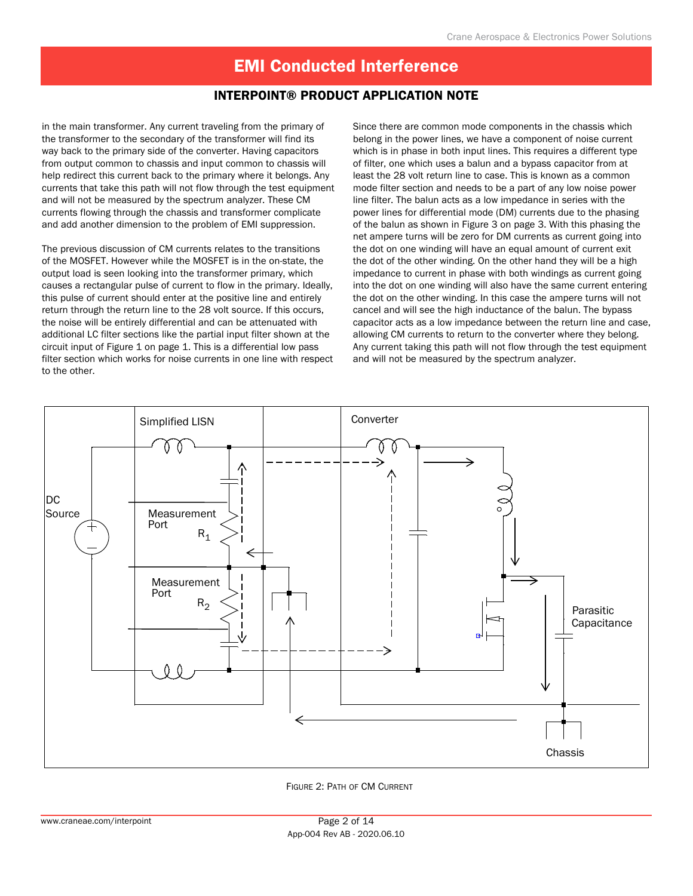### INTERPOINT® Product Application Note

in the main transformer. Any current traveling from the primary of the transformer to the secondary of the transformer will find its way back to the primary side of the converter. Having capacitors from output common to chassis and input common to chassis will help redirect this current back to the primary where it belongs. Any currents that take this path will not flow through the test equipment and will not be measured by the spectrum analyzer. These CM currents flowing through the chassis and transformer complicate and add another dimension to the problem of EMI suppression.

The previous discussion of CM currents relates to the transitions of the MOSFET. However while the MOSFET is in the on-state, the output load is seen looking into the transformer primary, which causes a rectangular pulse of current to flow in the primary. Ideally, this pulse of current should enter at the positive line and entirely return through the return line to the 28 volt source. If this occurs, the noise will be entirely differential and can be attenuated with additional LC filter sections like the partial input filter shown at the circuit input of Figure 1 on page 1. This is a differential low pass filter section which works for noise currents in one line with respect to the other.

Since there are common mode components in the chassis which belong in the power lines, we have a component of noise current which is in phase in both input lines. This requires a different type of filter, one which uses a balun and a bypass capacitor from at least the 28 volt return line to case. This is known as a common mode filter section and needs to be a part of any low noise power line filter. The balun acts as a low impedance in series with the power lines for differential mode (DM) currents due to the phasing of the balun as shown in Figure 3 on page 3. With this phasing the net ampere turns will be zero for DM currents as current going into the dot on one winding will have an equal amount of current exit the dot of the other winding. On the other hand they will be a high impedance to current in phase with both windings as current going into the dot on one winding will also have the same current entering the dot on the other winding. In this case the ampere turns will not cancel and will see the high inductance of the balun. The bypass capacitor acts as a low impedance between the return line and case, allowing CM currents to return to the converter where they belong. Any current taking this path will not flow through the test equipment and will not be measured by the spectrum analyzer.



Figure 2: Path of CM Current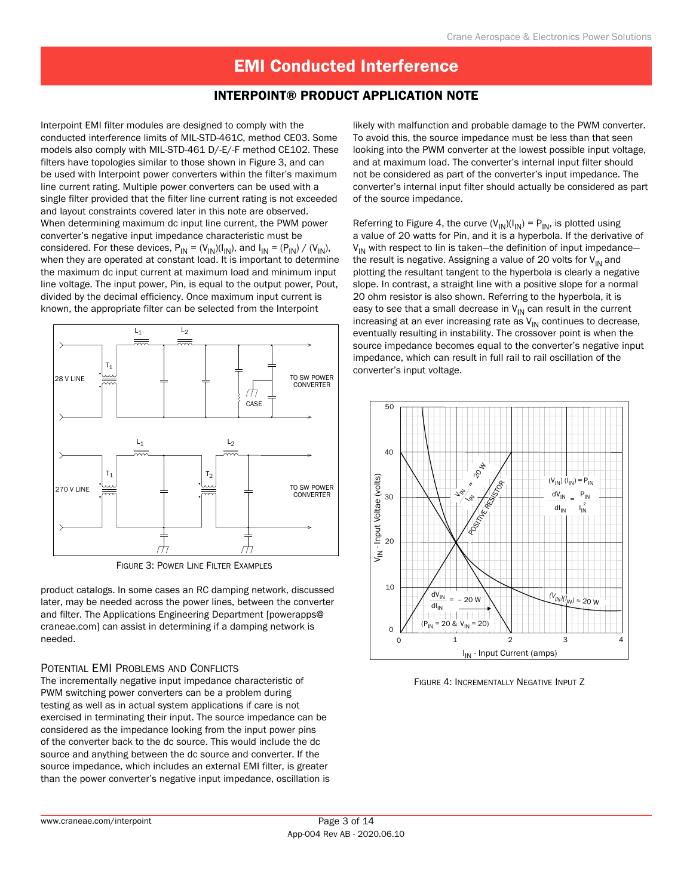#### INTERPOINT® Product Application Note

Interpoint EMI filter modules are designed to comply with the conducted interference limits of MIL-STD-461C, method CE03. Some models also comply with MIL-STD-461 D/-E/-F method CE102. These filters have topologies similar to those shown in Figure 3, and can be used with Interpoint power converters within the filter's maximum line current rating. Multiple power converters can be used with a single filter provided that the filter line current rating is not exceeded and layout constraints covered later in this note are observed. When determining maximum dc input line current, the PWM power converter's negative input impedance characteristic must be considered. For these devices,  $P_{IN} = (V_{IN})(I_{IN})$ , and  $I_{IN} = (P_{IN}) / (V_{IN})$ , when they are operated at constant load. It is important to determine the maximum dc input current at maximum load and minimum input line voltage. The input power, Pin, is equal to the output power, Pout, divided by the decimal efficiency. Once maximum input current is known, the appropriate filter can be selected from the Interpoint



FIGURE 3: POWER LINE FILTER EXAMPLES

product catalogs. In some cases an RC damping network, discussed later, may be needed across the power lines, between the converter and filter. The Applications Engineering Department [powerapps@ craneae.com] can assist in determining if a damping network is needed.

#### POTENTIAL EMI PROBLEMS AND CONFLICTS

The incrementally negative input impedance characteristic of PWM switching power converters can be a problem during testing as well as in actual system applications if care is not exercised in terminating their input. The source impedance can be considered as the impedance looking from the input power pins of the converter back to the dc source. This would include the dc source and anything between the dc source and converter. If the source impedance, which includes an external EMI filter, is greater than the power converter's negative input impedance, oscillation is

likely with malfunction and probable damage to the PWM converter. To avoid this, the source impedance must be less than that seen looking into the PWM converter at the lowest possible input voltage, and at maximum load. The converter's internal input filter should not be considered as part of the converter's input impedance. The converter's internal input filter should actually be considered as part of the source impedance.

Referring to Figure 4, the curve  $(V_{\text{IN}})(I_{\text{IN}}) = P_{\text{IN}}$ , is plotted using a value of 20 watts for Pin, and it is a hyperbola. If the derivative of  $V_{IN}$  with respect to lin is taken-the definition of input impedancethe result is negative. Assigning a value of 20 volts for  $V_{IN}$  and plotting the resultant tangent to the hyperbola is clearly a negative slope. In contrast, a straight line with a positive slope for a normal 20 ohm resistor is also shown. Referring to the hyperbola, it is easy to see that a small decrease in  $V_{IN}$  can result in the current increasing at an ever increasing rate as  $V_{IN}$  continues to decrease, eventually resulting in instability. The crossover point is when the source impedance becomes equal to the converter's negative input impedance, which can result in full rail to rail oscillation of the converter's input voltage.



Figure 4: Incrementally Negative Input Z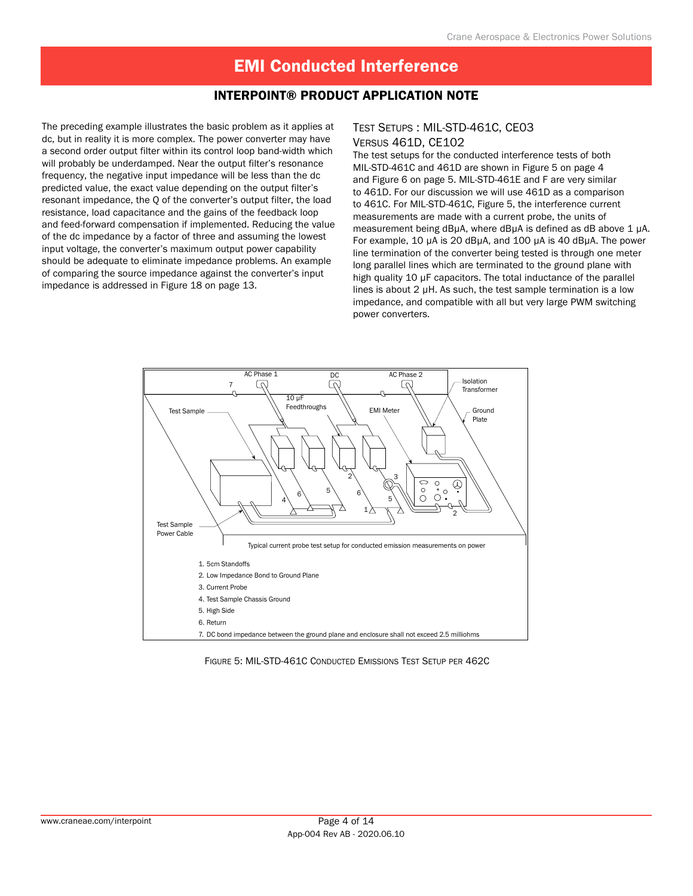#### INTERPOINT® Product Application Note

The preceding example illustrates the basic problem as it applies at dc, but in reality it is more complex. The power converter may have a second order output filter within its control loop band-width which will probably be underdamped. Near the output filter's resonance frequency, the negative input impedance will be less than the dc predicted value, the exact value depending on the output filter's resonant impedance, the Q of the converter's output filter, the load resistance, load capacitance and the gains of the feedback loop and feed-forward compensation if implemented. Reducing the value of the dc impedance by a factor of three and assuming the lowest input voltage, the converter's maximum output power capability should be adequate to eliminate impedance problems. An example of comparing the source impedance against the converter's input impedance is addressed in Figure 18 on page 13.

#### Test Setups : MIL-STD-461C, CE03 Versus 461D, CE102

The test setups for the conducted interference tests of both MIL-STD-461C and 461D are shown in Figure 5 on page 4 and Figure 6 on page 5. MIL-STD-461E and F are very similar to 461D. For our discussion we will use 461D as a comparison to 461C. For MIL-STD-461C, Figure 5, the interference current measurements are made with a current probe, the units of measurement being dBµA, where dBµA is defined as dB above 1 µA. For example, 10 µA is 20 dBµA, and 100 µA is 40 dBµA. The power line termination of the converter being tested is through one meter long parallel lines which are terminated to the ground plane with high quality 10 µF capacitors. The total inductance of the parallel lines is about 2 µH. As such, the test sample termination is a low impedance, and compatible with all but very large PWM switching power converters.



Figure 5: MIL-STD-461C Conducted Emissions Test Setup per 462C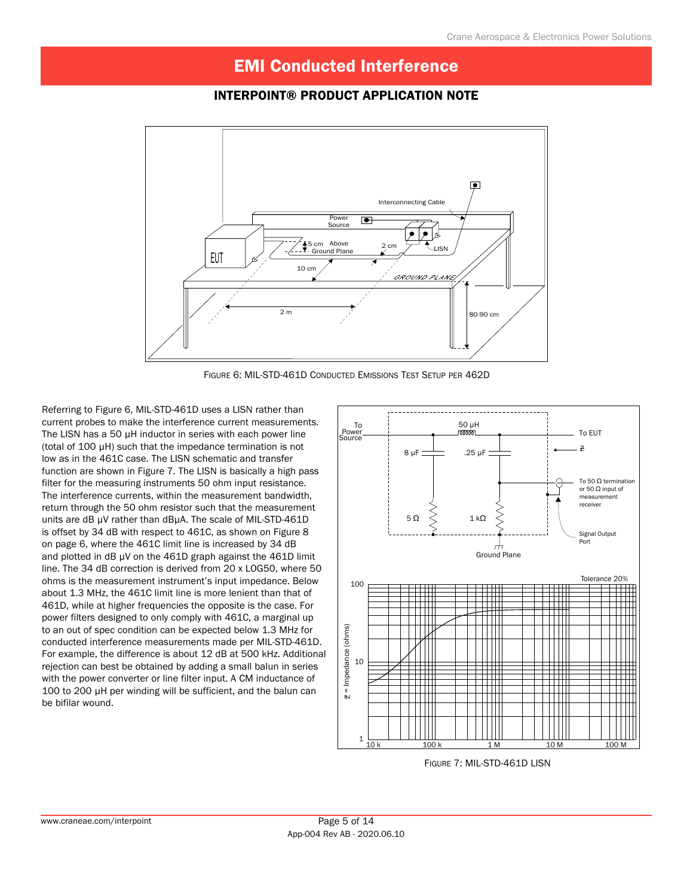### INTERPOINT® Product Application Note



Figure 6: MIL-STD-461D Conducted Emissions Test Setup per 462D

Referring to Figure 6, MIL-STD-461D uses a LISN rather than current probes to make the interference current measurements. The LISN has a 50 µH inductor in series with each power line (total of 100 µH) such that the impedance termination is not low as in the 461C case. The LISN schematic and transfer function are shown in Figure 7. The LISN is basically a high pass filter for the measuring instruments 50 ohm input resistance. The interference currents, within the measurement bandwidth, return through the 50 ohm resistor such that the measurement units are dB µV rather than dBµA. The scale of MIL-STD-461D is offset by 34 dB with respect to 461C, as shown on Figure 8 on page 6, where the 461C limit line is increased by 34 dB and plotted in dB µV on the 461D graph against the 461D limit line. The 34 dB correction is derived from 20 x LOG50, where 50 ohms is the measurement instrument's input impedance. Below about 1.3 MHz, the 461C limit line is more lenient than that of 461D, while at higher frequencies the opposite is the case. For power filters designed to only comply with 461C, a marginal up to an out of spec condition can be expected below 1.3 MHz for conducted interference measurements made per MIL-STD-461D. For example, the difference is about 12 dB at 500 kHz. Additional rejection can best be obtained by adding a small balun in series with the power converter or line filter input. A CM inductance of 100 to 200 µH per winding will be sufficient, and the balun can be bifilar wound.



Figure 7: MIL-STD-461D LISN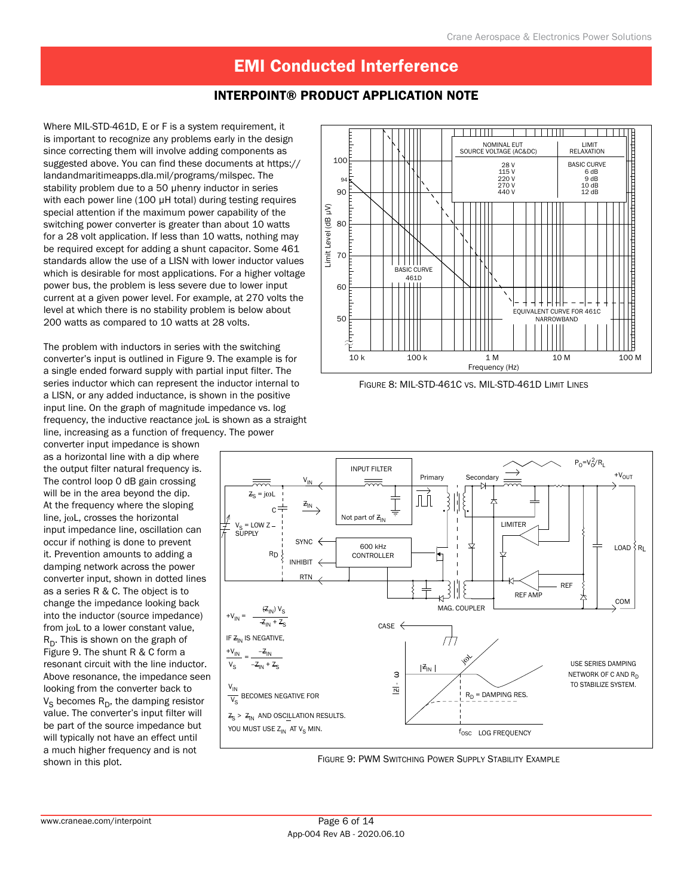### INTERPOINT® Product Application Note

Where MIL-STD-461D, E or F is a system requirement, it is important to recognize any problems early in the design since correcting them will involve adding components as suggested above. You can find these documents at https:// landandmaritimeapps.dla.mil/programs/milspec. The stability problem due to a 50 µhenry inductor in series with each power line (100 µH total) during testing requires special attention if the maximum power capability of the switching power converter is greater than about 10 watts for a 28 volt application. If less than 10 watts, nothing may be required except for adding a shunt capacitor. Some 461 standards allow the use of a LISN with lower inductor values which is desirable for most applications. For a higher voltage power bus, the problem is less severe due to lower input current at a given power level. For example, at 270 volts the level at which there is no stability problem is below about 200 watts as compared to 10 watts at 28 volts.

The problem with inductors in series with the switching converter's input is outlined in Figure 9. The example is for a single ended forward supply with partial input filter. The series inductor which can represent the inductor internal to a LISN, or any added inductance, is shown in the positive input line. On the graph of magnitude impedance vs. log frequency, the inductive reactance jωL is shown as a straight line, increasing as a function of frequency. The power

converter input impedance is shown as a horizontal line with a dip where the output filter natural frequency is. The control loop 0 dB gain crossing will be in the area beyond the dip. At the frequency where the sloping line, jωL, crosses the horizontal input impedance line, oscillation can occur if nothing is done to prevent it. Prevention amounts to adding a damping network across the power converter input, shown in dotted lines as a series R & C. The object is to change the impedance looking back into the inductor (source impedance) from jωL to a lower constant value,  $R_D$ . This is shown on the graph of Figure 9. The shunt R & C form a resonant circuit with the line inductor. Above resonance, the impedance seen looking from the converter back to  $V_S$  becomes  $R_D$ , the damping resistor value. The converter's input filter will be part of the source impedance but will typically not have an effect until a much higher frequency and is not shown in this plot.





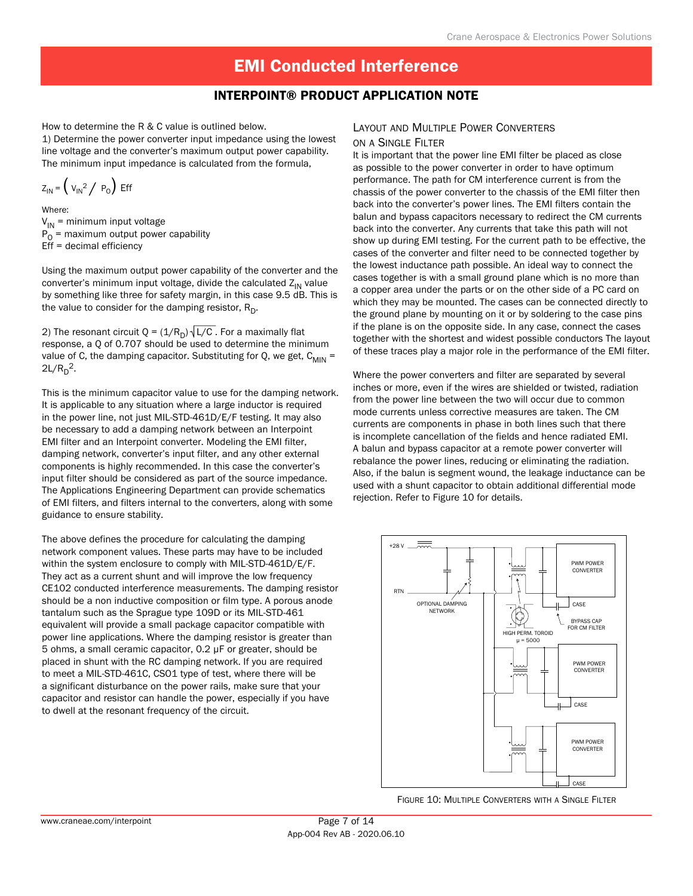#### INTERPOINT® Product Application Note

How to determine the R & C value is outlined below.

1) Determine the power converter input impedance using the lowest line voltage and the converter's maximum output power capability. The minimum input impedance is calculated from the formula,

$$
Z_{\text{IN}} = \left(V_{\text{IN}}^2 / P_0\right) \text{Eff}
$$

Where:  $V_{IN}$  = minimum input voltage  $P_{\Omega}$  = maximum output power capability Eff = decimal efficiency

Using the maximum output power capability of the converter and the converter's minimum input voltage, divide the calculated  $Z_{IN}$  value by something like three for safety margin, in this case 9.5 dB. This is the value to consider for the damping resistor,  $R_D$ .

2) The resonant circuit Q =  $(1/R<sub>D</sub>)\sqrt{L/C}$ . For a maximally flat response, a Q of 0.707 should be used to determine the minimum value of C, the damping capacitor. Substituting for Q, we get,  $C_{MIN}$  =  $2L/R_D^2$ .

This is the minimum capacitor value to use for the damping network. It is applicable to any situation where a large inductor is required in the power line, not just MIL-STD-461D/E/F testing. It may also be necessary to add a damping network between an Interpoint EMI filter and an Interpoint converter. Modeling the EMI filter, damping network, converter's input filter, and any other external components is highly recommended. In this case the converter's input filter should be considered as part of the source impedance. The Applications Engineering Department can provide schematics of EMI filters, and filters internal to the converters, along with some guidance to ensure stability.

The above defines the procedure for calculating the damping network component values. These parts may have to be included within the system enclosure to comply with MIL-STD-461D/E/F. They act as a current shunt and will improve the low frequency CE102 conducted interference measurements. The damping resistor should be a non inductive composition or film type. A porous anode tantalum such as the Sprague type 109D or its MIL-STD-461 equivalent will provide a small package capacitor compatible with power line applications. Where the damping resistor is greater than 5 ohms, a small ceramic capacitor, 0.2 µF or greater, should be placed in shunt with the RC damping network. If you are required to meet a MIL-STD-461C, CSO1 type of test, where there will be a significant disturbance on the power rails, make sure that your capacitor and resistor can handle the power, especially if you have to dwell at the resonant frequency of the circuit.

# Layout and Multiple Power Converters

on a Single Filter It is important that the power line EMI filter be placed as close as possible to the power converter in order to have optimum performance. The path for CM interference current is from the chassis of the power converter to the chassis of the EMI filter then back into the converter's power lines. The EMI filters contain the balun and bypass capacitors necessary to redirect the CM currents back into the converter. Any currents that take this path will not show up during EMI testing. For the current path to be effective, the cases of the converter and filter need to be connected together by the lowest inductance path possible. An ideal way to connect the cases together is with a small ground plane which is no more than a copper area under the parts or on the other side of a PC card on which they may be mounted. The cases can be connected directly to the ground plane by mounting on it or by soldering to the case pins if the plane is on the opposite side. In any case, connect the cases together with the shortest and widest possible conductors The layout of these traces play a major role in the performance of the EMI filter.

Where the power converters and filter are separated by several inches or more, even if the wires are shielded or twisted, radiation from the power line between the two will occur due to common mode currents unless corrective measures are taken. The CM currents are components in phase in both lines such that there is incomplete cancellation of the fields and hence radiated EMI. A balun and bypass capacitor at a remote power converter will rebalance the power lines, reducing or eliminating the radiation. Also, if the balun is segment wound, the leakage inductance can be used with a shunt capacitor to obtain additional differential mode rejection. Refer to Figure 10 for details.



Figure 10: Multiple Converters with a Single Filter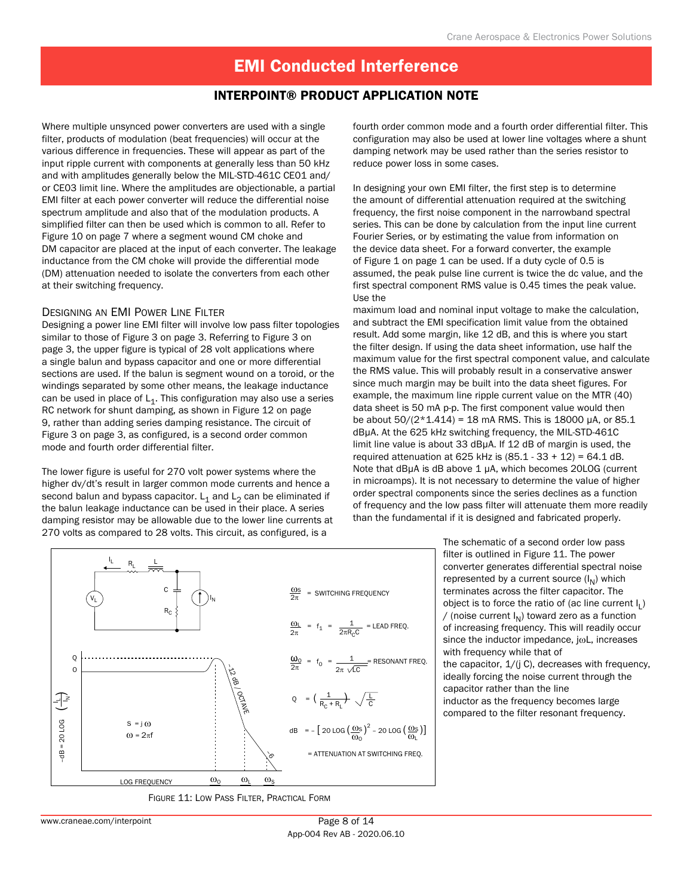#### INTERPOINT® Product Application Note

Where multiple unsynced power converters are used with a single filter, products of modulation (beat frequencies) will occur at the various difference in frequencies. These will appear as part of the input ripple current with components at generally less than 50 kHz and with amplitudes generally below the MIL-STD-461C CE01 and/ or CE03 limit line. Where the amplitudes are objectionable, a partial EMI filter at each power converter will reduce the differential noise spectrum amplitude and also that of the modulation products. A simplified filter can then be used which is common to all. Refer to Figure 10 on page 7 where a segment wound CM choke and DM capacitor are placed at the input of each converter. The leakage inductance from the CM choke will provide the differential mode (DM) attenuation needed to isolate the converters from each other at their switching frequency.

#### Designing an EMI Power Line Filter

Designing a power line EMI filter will involve low pass filter topologies similar to those of Figure 3 on page 3. Referring to Figure 3 on page 3, the upper figure is typical of 28 volt applications where a single balun and bypass capacitor and one or more differential sections are used. If the balun is segment wound on a toroid, or the windings separated by some other means, the leakage inductance can be used in place of  $L_1$ . This configuration may also use a series RC network for shunt damping, as shown in Figure 12 on page 9, rather than adding series damping resistance. The circuit of Figure 3 on page 3, as configured, is a second order common mode and fourth order differential filter.

The lower figure is useful for 270 volt power systems where the higher dv/dt's result in larger common mode currents and hence a second balun and bypass capacitor.  $L_1$  and  $L_2$  can be eliminated if the balun leakage inductance can be used in their place. A series damping resistor may be allowable due to the lower line currents at 270 volts as compared to 28 volts. This circuit, as configured, is a

fourth order common mode and a fourth order differential filter. This configuration may also be used at lower line voltages where a shunt damping network may be used rather than the series resistor to reduce power loss in some cases.

In designing your own EMI filter, the first step is to determine the amount of differential attenuation required at the switching frequency, the first noise component in the narrowband spectral series. This can be done by calculation from the input line current Fourier Series, or by estimating the value from information on the device data sheet. For a forward converter, the example of Figure 1 on page 1 can be used. If a duty cycle of 0.5 is assumed, the peak pulse line current is twice the dc value, and the first spectral component RMS value is 0.45 times the peak value. Use the

maximum load and nominal input voltage to make the calculation, and subtract the EMI specification limit value from the obtained result. Add some margin, like 12 dB, and this is where you start the filter design. If using the data sheet information, use half the maximum value for the first spectral component value, and calculate the RMS value. This will probably result in a conservative answer since much margin may be built into the data sheet figures. For example, the maximum line ripple current value on the MTR (40) data sheet is 50 mA p-p. The first component value would then be about  $50/(2*1.414) = 18$  mA RMS. This is 18000 µA, or 85.1 dBµA. At the 625 kHz switching frequency, the MIL-STD-461C limit line value is about 33 dBµA. If 12 dB of margin is used, the required attenuation at 625 kHz is  $(85.1 - 33 + 12) = 64.1$  dB. Note that dBuA is dB above 1 uA, which becomes 20LOG (current in microamps). It is not necessary to determine the value of higher order spectral components since the series declines as a function of frequency and the low pass filter will attenuate them more readily than the fundamental if it is designed and fabricated properly.



Figure 11: Low Pass Filter, Practical Form

The schematic of a second order low pass filter is outlined in Figure 11. The power converter generates differential spectral noise represented by a current source  $(I_N)$  which terminates across the filter capacitor. The object is to force the ratio of (ac line current  $I_1$ ) / (noise current  $I_N$ ) toward zero as a function of increasing frequency. This will readily occur since the inductor impedance, jωL, increases with frequency while that of the capacitor,  $1/(jC)$ , decreases with frequency, ideally forcing the noise current through the capacitor rather than the line inductor as the frequency becomes large compared to the filter resonant frequency.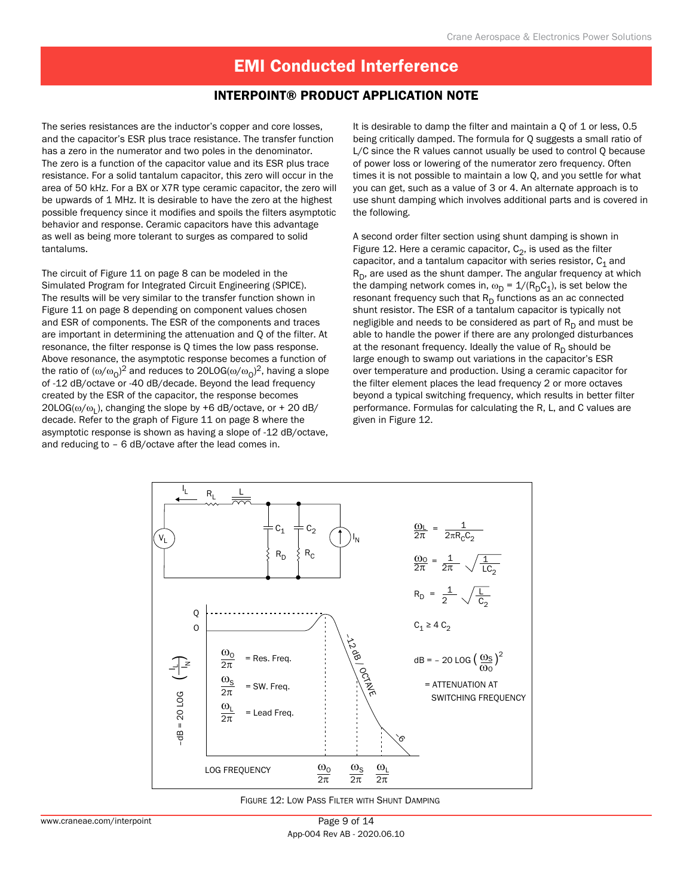#### INTERPOINT® Product Application Note

The series resistances are the inductor's copper and core losses, and the capacitor's ESR plus trace resistance. The transfer function has a zero in the numerator and two poles in the denominator. The zero is a function of the capacitor value and its ESR plus trace resistance. For a solid tantalum capacitor, this zero will occur in the area of 50 kHz. For a BX or X7R type ceramic capacitor, the zero will be upwards of 1 MHz. It is desirable to have the zero at the highest possible frequency since it modifies and spoils the filters asymptotic behavior and response. Ceramic capacitors have this advantage as well as being more tolerant to surges as compared to solid tantalums.

The circuit of Figure 11 on page 8 can be modeled in the Simulated Program for Integrated Circuit Engineering (SPICE). The results will be very similar to the transfer function shown in Figure 11 on page 8 depending on component values chosen and ESR of components. The ESR of the components and traces are important in determining the attenuation and Q of the filter. At resonance, the filter response is Q times the low pass response. Above resonance, the asymptotic response becomes a function of the ratio of  $(\omega/\omega_{0})^{2}$  and reduces to 20LOG( $\omega/\omega_{0})^{2}$ , having a slope of -12 dB/octave or -40 dB/decade. Beyond the lead frequency created by the ESR of the capacitor, the response becomes  $20LOG(\omega/\omega_L)$ , changing the slope by +6 dB/octave, or + 20 dB/ decade. Refer to the graph of Figure 11 on page 8 where the asymptotic response is shown as having a slope of -12 dB/octave, and reducing to – 6 dB/octave after the lead comes in.

It is desirable to damp the filter and maintain a 0 of 1 or less, 0.5 being critically damped. The formula for Q suggests a small ratio of L/C since the R values cannot usually be used to control Q because of power loss or lowering of the numerator zero frequency. Often times it is not possible to maintain a low Q, and you settle for what you can get, such as a value of 3 or 4. An alternate approach is to use shunt damping which involves additional parts and is covered in the following.

A second order filter section using shunt damping is shown in Figure 12. Here a ceramic capacitor,  $C_2$ , is used as the filter capacitor, and a tantalum capacitor with series resistor,  $C_1$  and  $R_D$ , are used as the shunt damper. The angular frequency at which the damping network comes in,  $\omega_D = 1/(R_D C_1)$ , is set below the resonant frequency such that  $R_D$  functions as an ac connected shunt resistor. The ESR of a tantalum capacitor is typically not negligible and needs to be considered as part of  $R_D$  and must be able to handle the power if there are any prolonged disturbances at the resonant frequency. Ideally the value of  $R_D$  should be large enough to swamp out variations in the capacitor's ESR over temperature and production. Using a ceramic capacitor for the filter element places the lead frequency 2 or more octaves beyond a typical switching frequency, which results in better filter performance. Formulas for calculating the R, L, and C values are given in Figure 12.



Figure 12: Low Pass Filter with Shunt Damping

App-004 Rev AB - 2020.06.10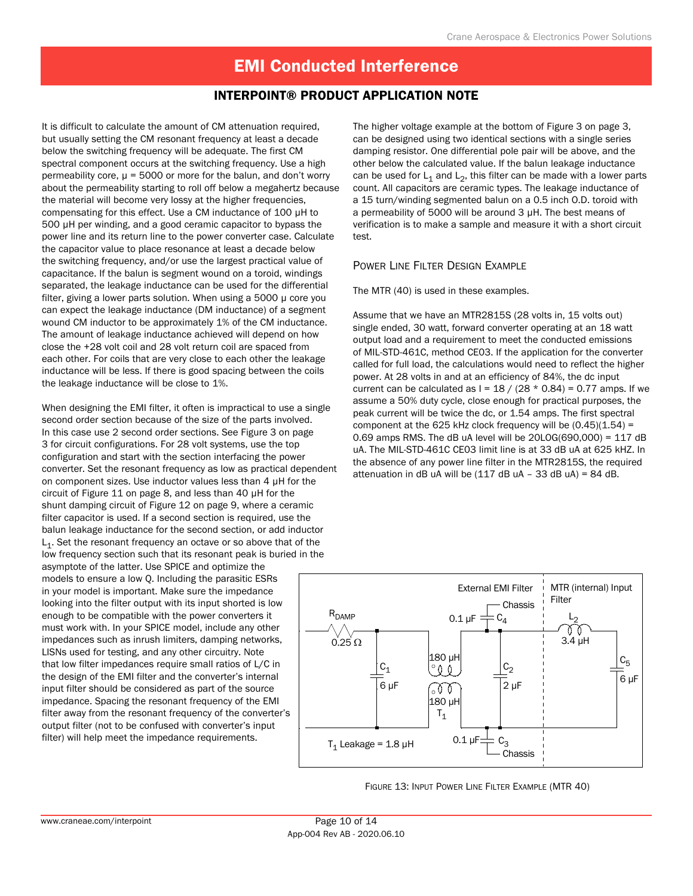#### INTERPOINT® Product Application Note

It is difficult to calculate the amount of CM attenuation required, but usually setting the CM resonant frequency at least a decade below the switching frequency will be adequate. The first CM spectral component occurs at the switching frequency. Use a high permeability core,  $\mu$  = 5000 or more for the balun, and don't worry about the permeability starting to roll off below a megahertz because the material will become very lossy at the higher frequencies, compensating for this effect. Use a CM inductance of 100 µH to 500 µH per winding, and a good ceramic capacitor to bypass the power line and its return line to the power converter case. Calculate the capacitor value to place resonance at least a decade below the switching frequency, and/or use the largest practical value of capacitance. If the balun is segment wound on a toroid, windings separated, the leakage inductance can be used for the differential filter, giving a lower parts solution. When using a 5000 µ core you can expect the leakage inductance (DM inductance) of a segment wound CM inductor to be approximately 1% of the CM inductance. The amount of leakage inductance achieved will depend on how close the +28 volt coil and 28 volt return coil are spaced from each other. For coils that are very close to each other the leakage inductance will be less. If there is good spacing between the coils the leakage inductance will be close to 1%.

When designing the EMI filter, it often is impractical to use a single second order section because of the size of the parts involved. In this case use 2 second order sections. See Figure 3 on page 3 for circuit configurations. For 28 volt systems, use the top configuration and start with the section interfacing the power converter. Set the resonant frequency as low as practical dependent on component sizes. Use inductor values less than 4 µH for the circuit of Figure 11 on page 8, and less than 40 µH for the shunt damping circuit of Figure 12 on page 9, where a ceramic filter capacitor is used. If a second section is required, use the balun leakage inductance for the second section, or add inductor  $L_1$ . Set the resonant frequency an octave or so above that of the low frequency section such that its resonant peak is buried in the

asymptote of the latter. Use SPICE and optimize the models to ensure a low Q. Including the parasitic ESRs in your model is important. Make sure the impedance looking into the filter output with its input shorted is low enough to be compatible with the power converters it must work with. In your SPICE model, include any other impedances such as inrush limiters, damping networks, LISNs used for testing, and any other circuitry. Note that low filter impedances require small ratios of L/C in the design of the EMI filter and the converter's internal input filter should be considered as part of the source impedance. Spacing the resonant frequency of the EMI filter away from the resonant frequency of the converter's output filter (not to be confused with converter's input filter) will help meet the impedance requirements.

The higher voltage example at the bottom of Figure 3 on page 3, can be designed using two identical sections with a single series damping resistor. One differential pole pair will be above, and the other below the calculated value. If the balun leakage inductance can be used for  $L_1$  and  $L_2$ , this filter can be made with a lower parts count. All capacitors are ceramic types. The leakage inductance of a 15 turn/winding segmented balun on a 0.5 inch O.D. toroid with a permeability of 5000 will be around 3 µH. The best means of verification is to make a sample and measure it with a short circuit test.

#### Power Line Filter Design Example

The MTR (40) is used in these examples.

Assume that we have an MTR2815S (28 volts in, 15 volts out) single ended, 30 watt, forward converter operating at an 18 watt output load and a requirement to meet the conducted emissions of MIL-STD-461C, method CE03. If the application for the converter called for full load, the calculations would need to reflect the higher power. At 28 volts in and at an efficiency of 84%, the dc input current can be calculated as  $I = 18 / (28 * 0.84) = 0.77$  amps. If we assume a 50% duty cycle, close enough for practical purposes, the peak current will be twice the dc, or 1.54 amps. The first spectral component at the 625 kHz clock frequency will be  $(0.45)(1.54)$  = 0.69 amps RMS. The dB uA level will be  $20LOG(690,000) = 117$  dB uA. The MIL-STD-461C CE03 limit line is at 33 dB uA at 625 kHZ. In the absence of any power line filter in the MTR2815S, the required attenuation in dB uA will be  $(117 \text{ dB uA} - 33 \text{ dB uA}) = 84 \text{ dB}$ .



Figure 13: Input Power Line Filter Example (MTR 40)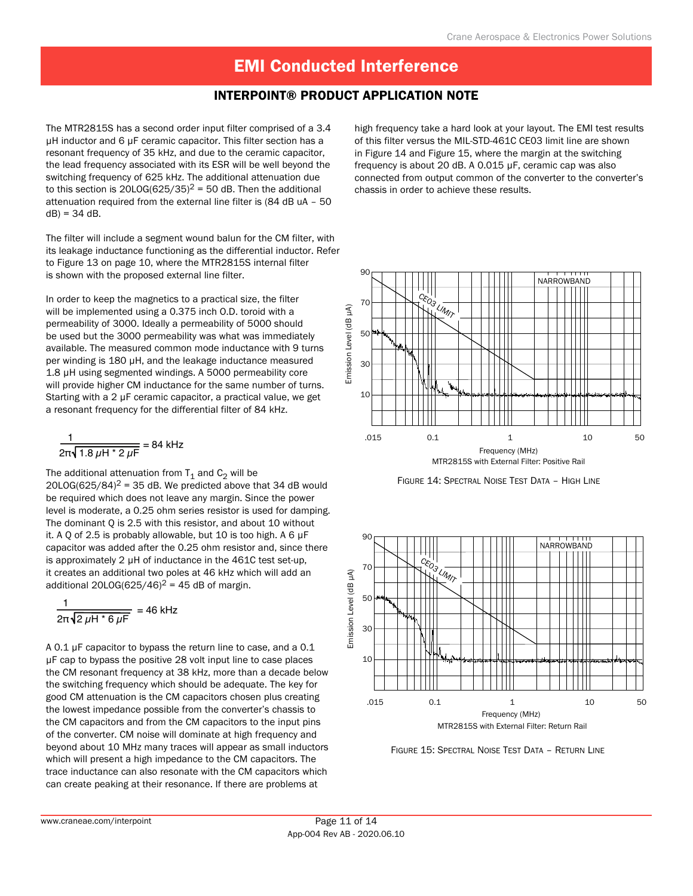#### INTERPOINT® Product Application Note

The MTR2815S has a second order input filter comprised of a 3.4 µH inductor and 6 µF ceramic capacitor. This filter section has a resonant frequency of 35 kHz, and due to the ceramic capacitor, the lead frequency associated with its ESR will be well beyond the switching frequency of 625 kHz. The additional attenuation due to this section is 20LOG(625/35)<sup>2</sup> = 50 dB. Then the additional attenuation required from the external line filter is (84 dB uA – 50  $dB$ ) = 34 dB.

The filter will include a segment wound balun for the CM filter, with its leakage inductance functioning as the differential inductor. Refer to Figure 13 on page 10, where the MTR2815S internal filter is shown with the proposed external line filter.

In order to keep the magnetics to a practical size, the filter will be implemented using a 0.375 inch O.D. toroid with a permeability of 3000. Ideally a permeability of 5000 should be used but the 3000 permeability was what was immediately available. The measured common mode inductance with 9 turns per winding is 180 µH, and the leakage inductance measured 1.8 µH using segmented windings. A 5000 permeability core will provide higher CM inductance for the same number of turns. Starting with a 2 µF ceramic capacitor, a practical value, we get a resonant frequency for the differential filter of 84 kHz.

$$
\frac{1}{2\pi\sqrt{1.8 \mu H * 2 \mu F}} = 84 \text{ kHz}
$$

The additional attenuation from  $T_1$  and  $C_2$  will be 20LOG(625/84)<sup>2</sup> = 35 dB. We predicted above that 34 dB would be required which does not leave any margin. Since the power level is moderate, a 0.25 ohm series resistor is used for damping. The dominant Q is 2.5 with this resistor, and about 10 without it. A Q of 2.5 is probably allowable, but 10 is too high. A 6 µF capacitor was added after the 0.25 ohm resistor and, since there is approximately 2 µH of inductance in the 461C test set-up, it creates an additional two poles at 46 kHz which will add an additional 20LOG(625/46)<sup>2</sup> = 45 dB of margin.

$$
\frac{1}{2\pi\sqrt{2\,\mu\text{H}^* \,6\,\mu\text{F}}} = 46\,\text{kHz}
$$

A 0.1 µF capacitor to bypass the return line to case, and a 0.1 µF cap to bypass the positive 28 volt input line to case places the CM resonant frequency at 38 kHz, more than a decade below the switching frequency which should be adequate. The key for good CM attenuation is the CM capacitors chosen plus creating the lowest impedance possible from the converter's chassis to the CM capacitors and from the CM capacitors to the input pins of the converter. CM noise will dominate at high frequency and beyond about 10 MHz many traces will appear as small inductors which will present a high impedance to the CM capacitors. The trace inductance can also resonate with the CM capacitors which can create peaking at their resonance. If there are problems at

high frequency take a hard look at your layout. The EMI test results of this filter versus the MIL-STD-461C CE03 limit line are shown in Figure 14 and Figure 15, where the margin at the switching frequency is about 20 dB. A 0.015 µF, ceramic cap was also connected from output common of the converter to the converter's chassis in order to achieve these results.



Figure 14: Spectral Noise Test Data – High Line



Figure 15: Spectral Noise Test Data – Return Line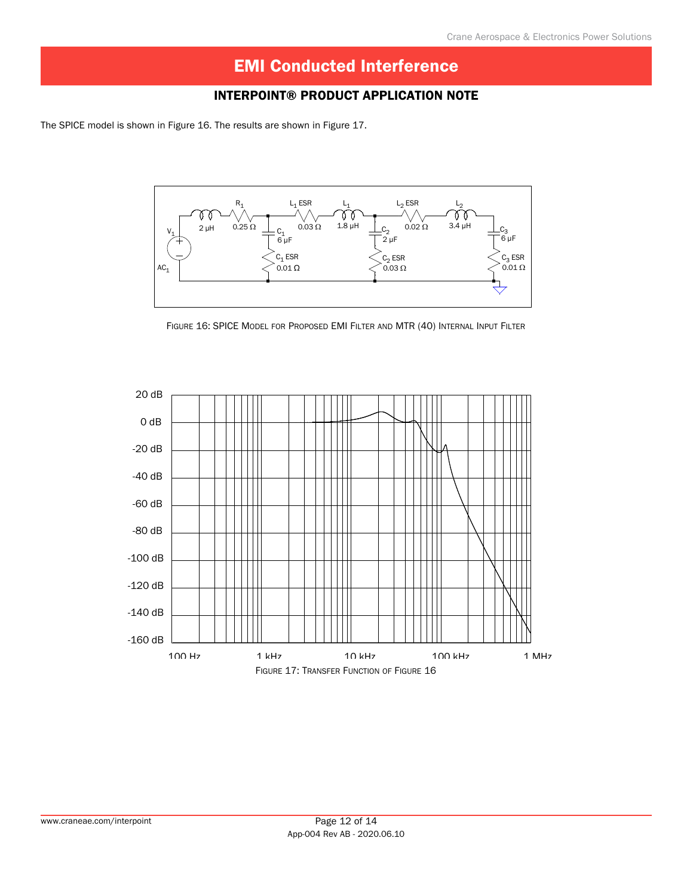### INTERPOINT® Product Application Note

The SPICE model is shown in Figure 16. The results are shown in Figure 17.



Figure 16: SPICE Model for Proposed EMI Filter and MTR (40) Internal Input Filter

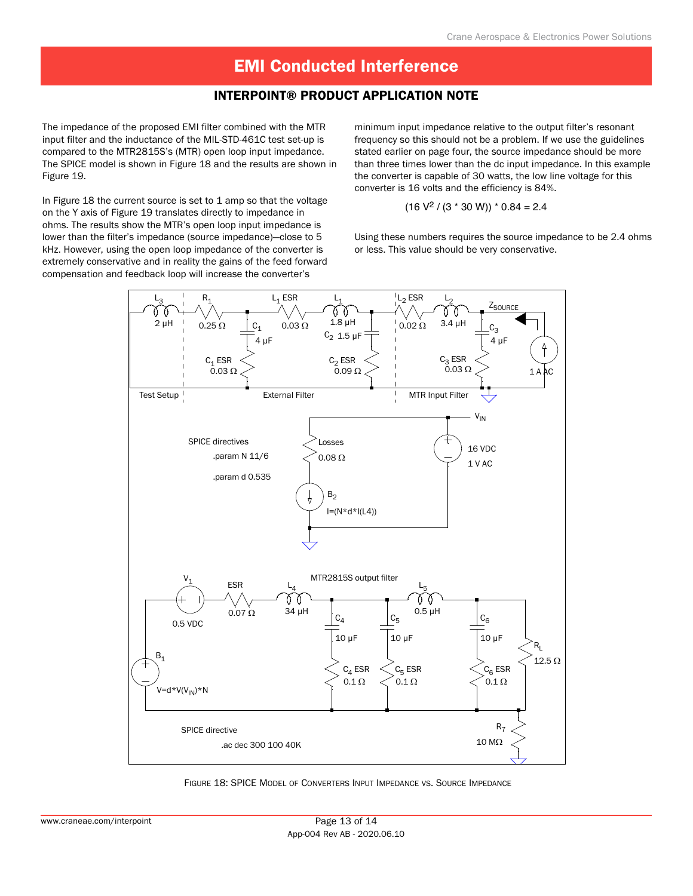#### INTERPOINT® Product Application Note

The impedance of the proposed EMI filter combined with the MTR input filter and the inductance of the MIL-STD-461C test set-up is compared to the MTR2815S's (MTR) open loop input impedance. The SPICE model is shown in Figure 18 and the results are shown in Figure 19.

In Figure 18 the current source is set to 1 amp so that the voltage on the Y axis of Figure 19 translates directly to impedance in ohms. The results show the MTR's open loop input impedance is lower than the filter's impedance (source impedance)—close to 5 kHz. However, using the open loop impedance of the converter is extremely conservative and in reality the gains of the feed forward compensation and feedback loop will increase the converter's

minimum input impedance relative to the output filter's resonant frequency so this should not be a problem. If we use the guidelines stated earlier on page four, the source impedance should be more than three times lower than the dc input impedance. In this example the converter is capable of 30 watts, the low line voltage for this converter is 16 volts and the efficiency is 84%.

$$
(16 V2 / (3 * 30 W)) * 0.84 = 2.4
$$

Using these numbers requires the source impedance to be 2.4 ohms or less. This value should be very conservative.



Figure 18: SPICE Model of Converters Input Impedance vs. Source Impedance